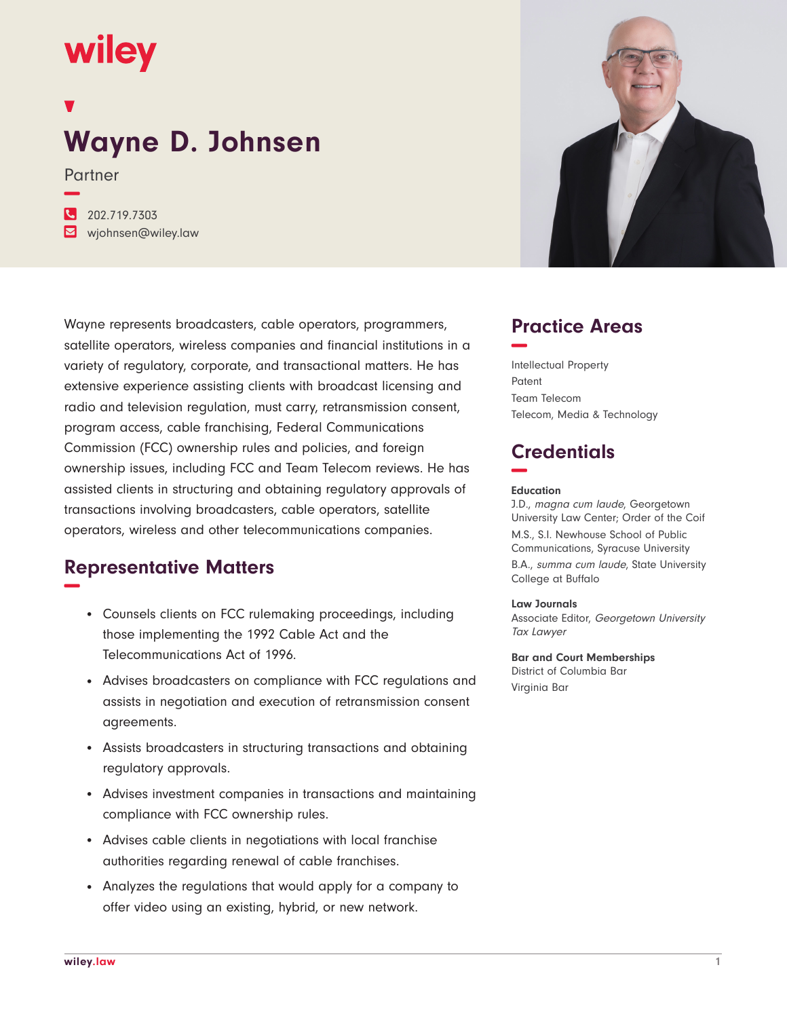# wiley

**−**

## **Wayne D. Johnsen**

Partner

**�** 202.719.7303 **�** wjohnsen@wiley.law

Wayne represents broadcasters, cable operators, programmers, satellite operators, wireless companies and financial institutions in a variety of regulatory, corporate, and transactional matters. He has extensive experience assisting clients with broadcast licensing and radio and television regulation, must carry, retransmission consent, program access, cable franchising, Federal Communications Commission (FCC) ownership rules and policies, and foreign ownership issues, including FCC and Team Telecom reviews. He has assisted clients in structuring and obtaining regulatory approvals of transactions involving broadcasters, cable operators, satellite operators, wireless and other telecommunications companies.

## **Representative Matters −**

- Counsels clients on FCC rulemaking proceedings, including those implementing the 1992 Cable Act and the Telecommunications Act of 1996.
- Advises broadcasters on compliance with FCC regulations and assists in negotiation and execution of retransmission consent agreements.
- Assists broadcasters in structuring transactions and obtaining regulatory approvals.
- Advises investment companies in transactions and maintaining compliance with FCC ownership rules.
- Advises cable clients in negotiations with local franchise authorities regarding renewal of cable franchises.
- Analyzes the regulations that would apply for a company to offer video using an existing, hybrid, or new network.



## **Practice Areas −**

Intellectual Property Patent Team Telecom Telecom, Media & Technology

## **Credentials −**

#### **Education**

J.D., magna cum laude, Georgetown University Law Center; Order of the Coif M.S., S.I. Newhouse School of Public Communications, Syracuse University B.A., summa cum laude, State University College at Buffalo

#### **Law Journals**

Associate Editor, Georgetown University Tax Lawyer

**Bar and Court Memberships** District of Columbia Bar Virginia Bar